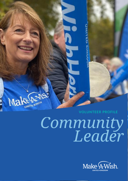

# *Community Leader*

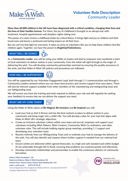

**More than 60,000 children in the UK have been diagnosed with a critical condition, changing their lives and the lives of their families forever.** For them, the joy of childhood is brought to an abrupt end, with treatment, hospital appointments and sleepless nights taking over.

The power of a wish revives a childhood stolen by critical illness. It brings light and joy to children and their loved ones and leaves a profound and lasting impact on all their lives.

But we can't be that light for everyone. It takes an army of volunteers like you to help these children feel like children again. Together, we have the power to **#LightUpTheDarkness.**

# **WHAT WILL I BE DOING?**



As a **Community Leader**, you will be using your ability to inspire and lead to empower and coordinate a team of local volunteers to deliver wishes in your community; from the initial call right through to the magic of delivering the wish. You will develop community partnerships and lead on ensuring the quality assurance of the wish, and that Make-A-Wish UK policies and procedures are followed.

### **HOW WILL I BE SUPPORTED?**



You will be supported by our Volunteer Engagement Lead, both through 1-1 communication and through a Community Leaders network where you can share best practice and receive support from your peers. There will also be relevant support available from other members of the volunteering and wishgranting team and our Safeguarding Lead.

We will ensure you have the training and tools required to deliver your role and will regularly be seeking your feedback to ensure that we can deliver the support you need.

# **WHAT ARE MY CORE TASKS?**



Using the Make-A-Wish values of **Be Magical**, **Be Inclusive** and **Be Inspired** you will:

- Lead your hub so that it thrives and has the best systems in place to deliver wishes in your community and bring magic into a child's life. You will develop a plan for your hub that aligns with Make-A-Wish UK's strategic objectives.
- Create an inclusive volunteer culture within your team and recruit, empower and support your volunteers including Wish Makers, Wish Creators, Community Wish Co-ordinators, and other volunteer roles. This will include holding regular group meetings, providing 1-1 support and developing your volunteer team.
- Receive referrals from our Wishgranting Team and co-ordinate your hub to manage the delivery of the wish. You will also identify and request where further support is needed from our national hub team.
- Ensure wishes are delivered within agreed timescales, to a high and safe standard and within budget (if not achievable through Gift In Kind), ensuring that problems are resolved quickly and effectively.
- Develop community relationships and partnerships to enable the continuous delivery of community led wishes.

Make-A-Wish Foundation® UK **Registered Address: Make-A-Wish Foundation UK.** Seventh Floor, Thames Tower, Station Road, Reading RG1 1LX make-a-wish.org.uk 01276 40 50 60 Charity Registration No. (England and Wales) 295672 / (Scotland) SC037479 Company Registration No. 2031836

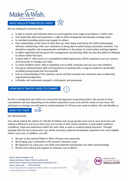

**WHAT SKILLS/ATTRIBUTES DO I NEED?**

We are looking for someone who:

- Is able to inspire and motivate others to work together to be magical and deliver a child's wish
- Has leadership skills and experience, is able to think strategically and develop strategic plans
- Is confident providing advice and support to others
- Puts relationships at the heart of what they do; from being wish led by the child to developing effective relationships with your volunteers to being able to build strong community networks. You should be empathic and compassionate and believe in the power of communities working together.
- Is highly organised and has good time management and planning skills, but also the ability to delegate to others within the team
- Is good with IT, with access to a smartphone/tablet/laptop (you will be required to use our systems and processes to manage your hub)
- Is a keen problem solver, able to negotiate and to think creatively and use your own initiative
- Has great communication skills and experience of working with a range of audiences (preferably including young people but not essential)
- Has an understanding of the voluntary sector and the essential role volunteers play in delivering organisational objectives
- Is flexible, self-motivated, energetic, enthusiastic and passionate

### **HOW MUCH TIME DO I NEED TO COMMIT?**

As this is a leadership role within our community led approach to granting wishes, the amount of time commitment will vary depending on the wishes requested in your area and the needs of your team. We anticipate on average you will need to commit between 0-10 hours per week to deliver this role (flexibly as

# **WHAT DO I GAIN?**



the role demands).

You will be making the wishes of critically ill children and young people come true in your local area and making a difference not just to their lives, but to that of their family members. A wish builds resilience, confidence, hope and aspirations within the wish child, as well as creating lasting memories. Through working with the local community, you will be ensuring a tailored and bespoke experience for every eligible child in your area. In addition, you will:

- Be part of the national Make-A-Wish UK team and community
- Be bringing your community to life around a fantastic cause
- Be impactful, by using your own skills and expertise and develop new skills and knowledge
- Receive the training and support to empower you to deliver

Make-A-Wish Foundation® UK Registered Address: Make-A-Wish Foundation UK, Seventh Floor, Thames Tower, Station Road, Reading RG1 1LX make-a-wish.org.uk 01276 40 50 60 Charity Registration No. (England and Wales) 295672 / (Scotland) SC037479 Company Registration No. 2031836